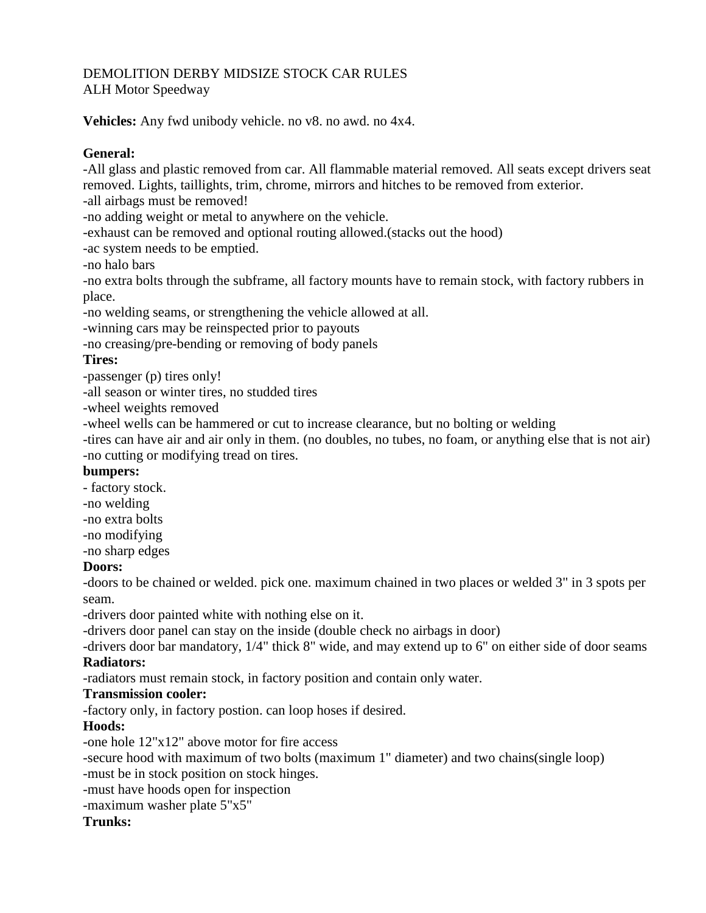#### DEMOLITION DERBY MIDSIZE STOCK CAR RULES ALH Motor Speedway

**Vehicles:** Any fwd unibody vehicle. no v8. no awd. no 4x4.

## **General:**

-All glass and plastic removed from car. All flammable material removed. All seats except drivers seat removed. Lights, taillights, trim, chrome, mirrors and hitches to be removed from exterior.

-all airbags must be removed!

-no adding weight or metal to anywhere on the vehicle.

-exhaust can be removed and optional routing allowed.(stacks out the hood)

-ac system needs to be emptied.

-no halo bars

-no extra bolts through the subframe, all factory mounts have to remain stock, with factory rubbers in place.

-no welding seams, or strengthening the vehicle allowed at all.

-winning cars may be reinspected prior to payouts

-no creasing/pre-bending or removing of body panels

## **Tires:**

-passenger (p) tires only!

-all season or winter tires, no studded tires

-wheel weights removed

-wheel wells can be hammered or cut to increase clearance, but no bolting or welding

-tires can have air and air only in them. (no doubles, no tubes, no foam, or anything else that is not air) -no cutting or modifying tread on tires.

## **bumpers:**

- factory stock.

-no welding

-no extra bolts

-no modifying

-no sharp edges

## **Doors:**

-doors to be chained or welded. pick one. maximum chained in two places or welded 3" in 3 spots per seam.

-drivers door painted white with nothing else on it.

-drivers door panel can stay on the inside (double check no airbags in door)

-drivers door bar mandatory, 1/4" thick 8" wide, and may extend up to 6" on either side of door seams **Radiators:**

-radiators must remain stock, in factory position and contain only water.

## **Transmission cooler:**

-factory only, in factory postion. can loop hoses if desired.

## **Hoods:**

-one hole 12"x12" above motor for fire access

-secure hood with maximum of two bolts (maximum 1" diameter) and two chains(single loop)

-must be in stock position on stock hinges.

-must have hoods open for inspection

-maximum washer plate 5"x5"

## **Trunks:**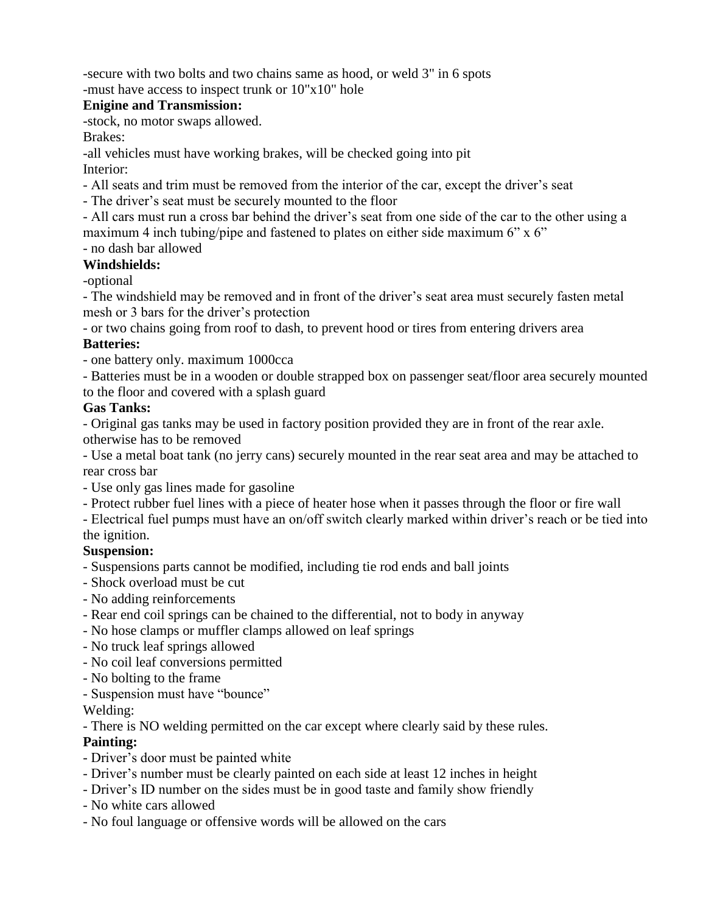-secure with two bolts and two chains same as hood, or weld 3" in 6 spots

-must have access to inspect trunk or 10"x10" hole

#### **Enigine and Transmission:**

-stock, no motor swaps allowed.

Brakes:

-all vehicles must have working brakes, will be checked going into pit Interior:

- All seats and trim must be removed from the interior of the car, except the driver's seat
- The driver's seat must be securely mounted to the floor

- All cars must run a cross bar behind the driver's seat from one side of the car to the other using a maximum 4 inch tubing/pipe and fastened to plates on either side maximum 6" x 6"

# - no dash bar allowed

**Windshields:** 

-optional

- The windshield may be removed and in front of the driver's seat area must securely fasten metal mesh or 3 bars for the driver's protection

- or two chains going from roof to dash, to prevent hood or tires from entering drivers area **Batteries:** 

- one battery only. maximum 1000cca

- Batteries must be in a wooden or double strapped box on passenger seat/floor area securely mounted to the floor and covered with a splash guard

#### **Gas Tanks:**

- Original gas tanks may be used in factory position provided they are in front of the rear axle. otherwise has to be removed

- Use a metal boat tank (no jerry cans) securely mounted in the rear seat area and may be attached to rear cross bar

- Use only gas lines made for gasoline

- Protect rubber fuel lines with a piece of heater hose when it passes through the floor or fire wall

- Electrical fuel pumps must have an on/off switch clearly marked within driver's reach or be tied into the ignition.

#### **Suspension:**

- Suspensions parts cannot be modified, including tie rod ends and ball joints
- Shock overload must be cut
- No adding reinforcements
- Rear end coil springs can be chained to the differential, not to body in anyway
- No hose clamps or muffler clamps allowed on leaf springs
- No truck leaf springs allowed
- No coil leaf conversions permitted
- No bolting to the frame
- Suspension must have "bounce"

Welding:

- There is NO welding permitted on the car except where clearly said by these rules.

#### **Painting:**

- Driver's door must be painted white
- Driver's number must be clearly painted on each side at least 12 inches in height
- Driver's ID number on the sides must be in good taste and family show friendly
- No white cars allowed
- No foul language or offensive words will be allowed on the cars